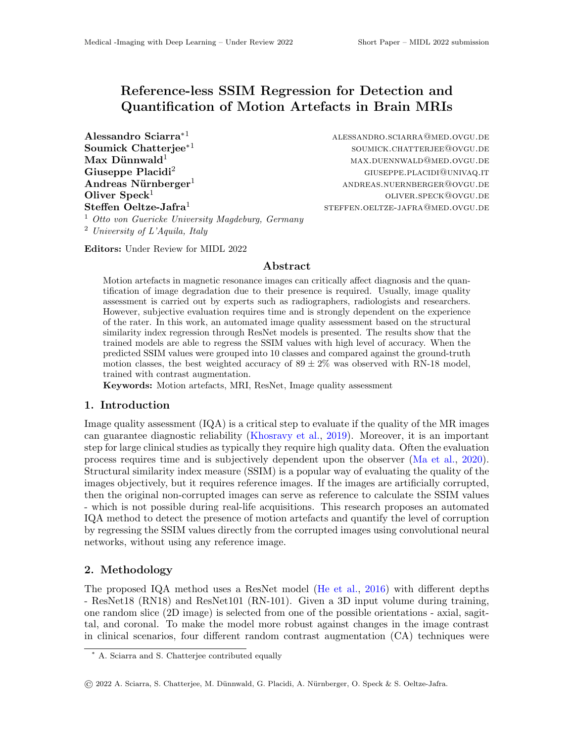# Reference-less SSIM Regression for Detection and Quantification of Motion Artefacts in Brain MRIs

 $\mathbf A$ lessandro Sciarra $*^1$  alessandro.sciarra@med.ovgu.de Soumick Chatterjee∗<sup>1</sup>  $Max$  Dünnwald<sup>1</sup> max.buennwald<sup>1</sup> max.buennwald@med.ovgu.de Giuseppe Placidi<sup>2</sup> and  $G$ iuseppe.placidi $G$ useppe.placidi $G$ univaq.it Andreas Nürnberger<sup>1</sup> and  $\text{ANDREAS.NUERNBERGER}$ <sup>O</sup>ovgu.de **Oliver Speck**<sup>1</sup> oliver.speck@ovgu.de Steffen Oeltze-Jafra<sup>1</sup>

soumick.chatterjee@ovgu.de steffen.oeltze-jafra@med.ovgu.de

<sup>1</sup> Otto von Guericke University Magdeburg, Germany <sup>2</sup> University of L'Aquila, Italy

Editors: Under Review for MIDL 2022

# Abstract

Motion artefacts in magnetic resonance images can critically affect diagnosis and the quantification of image degradation due to their presence is required. Usually, image quality assessment is carried out by experts such as radiographers, radiologists and researchers. However, subjective evaluation requires time and is strongly dependent on the experience of the rater. In this work, an automated image quality assessment based on the structural similarity index regression through ResNet models is presented. The results show that the trained models are able to regress the SSIM values with high level of accuracy. When the predicted SSIM values were grouped into 10 classes and compared against the ground-truth motion classes, the best weighted accuracy of  $89 \pm 2\%$  was observed with RN-18 model, trained with contrast augmentation.

Keywords: Motion artefacts, MRI, ResNet, Image quality assessment

### 1. Introduction

Image quality assessment  $(IQA)$  is a critical step to evaluate if the quality of the MR images can guarantee diagnostic reliability [\(Khosravy et al.,](#page-2-0) [2019\)](#page-2-0). Moreover, it is an important step for large clinical studies as typically they require high quality data. Often the evaluation process requires time and is subjectively dependent upon the observer [\(Ma et al.,](#page-2-1) [2020\)](#page-2-1). Structural similarity index measure (SSIM) is a popular way of evaluating the quality of the images objectively, but it requires reference images. If the images are artificially corrupted, then the original non-corrupted images can serve as reference to calculate the SSIM values - which is not possible during real-life acquisitions. This research proposes an automated IQA method to detect the presence of motion artefacts and quantify the level of corruption by regressing the SSIM values directly from the corrupted images using convolutional neural networks, without using any reference image.

# 2. Methodology

The proposed IQA method uses a ResNet model [\(He et al.,](#page-2-2) [2016\)](#page-2-2) with different depths - ResNet18 (RN18) and ResNet101 (RN-101). Given a 3D input volume during training, one random slice (2D image) is selected from one of the possible orientations - axial, sagittal, and coronal. To make the model more robust against changes in the image contrast in clinical scenarios, four different random contrast augmentation (CA) techniques were

<sup>∗</sup> A. Sciarra and S. Chatterjee contributed equally

<sup>©</sup> 2022 A. Sciarra, S. Chatterjee, M. D¨unnwald, G. Placidi, A. N¨urnberger, O. Speck & S. Oeltze-Jafra.